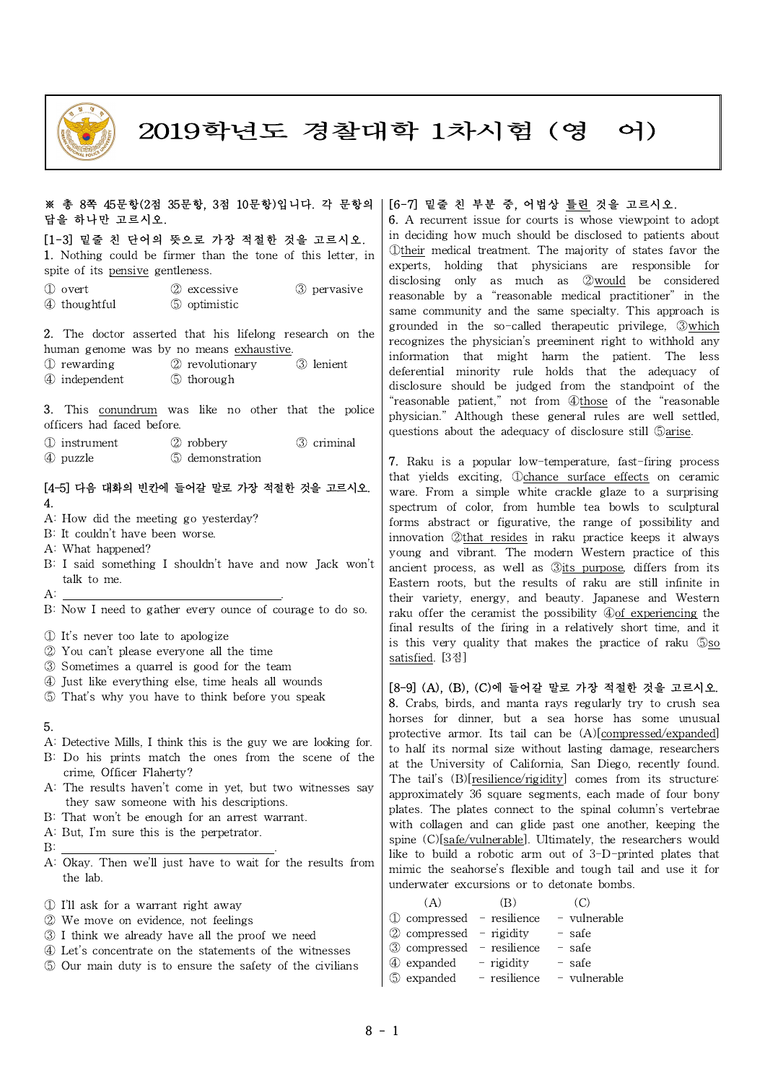

2019학년도 경찰대학 1차시험 (영 어)

### ※ 총 8쪽 45문항(2점 35문항, 3점 10문항)입니다. 각 문항의 답을 하나만 고르시오.

### [1-3] 밑줄 친 단어의 뜻으로 가장 적절한 것을 고르시오.

1. Nothing could be firmer than the tone of this letter, in spite of its <u>pensive</u> gentleness.

① overt ② excessive ③ pervasive ④ thoughtful ⑤ optimistic

2. The doctor asserted that his lifelong research on the human genome was by no means exhaustive.

① rewarding ② revolutionary ③ lenient

④ independent ⑤ thorough

3. This conundrum was like no other that the police officers had faced before.

- ① instrument ② robbery ③ criminal
- ④ puzzle ⑤ demonstration

## [4-5] 다음 대화의 빈칸에 들어갈 말로 가장 적절한 것을 고르시오. 4.

- A: How did the meeting go yesterday?
- B: It couldn't have been worse.
- A: What happened?
- B: I said something I shouldn't have and now Jack won't talk to me.  $\mathsf{A}$ :
- $A:$  . The contract of the contract of the contract of the contract of the contract of the contract of the contract of the contract of the contract of the contract of the contract of the contract of the contract of the co
- B: Now I need to gather every ounce of courage to do so.
- ① It's never too late to apologize
- ② You can't please everyone allthe time
- ③ Sometimes a quarrel is good for the team
- ④ Just like everything else, time heals allwounds
- ⑤ That's why you have to think before you speak

#### 5.

- A: Detective Mills, I think this is the guy we are looking for.
- B: Do his prints match the ones from the scene of the crime, Officer Flaherty?
- A: The results haven't come in yet, but two witnesses say they saw someone with his descriptions.
- B: That won't be enough for an arrest warrant.
- A: But, I'm sure this is the perpetrator.
- 
- $\mathbf{B}$ : A: Okay. Then we'll just have to wait for the results from the lab.
- ① I'll ask for a warrant right away
- ② We move on evidence, not feelings
- ③ I think we already have allthe proof we need
- ④ Let's concentrate on the statements of the witnesses
- ⑤ Our main duty is to ensure the safety of the civilians

# [6-7] 밑줄 친 부분 중, 어법상 틀린 것을 고르시오.

6. A recurrent issue for courts is whose viewpoint to adopt in deciding how much should be disclosed to patients about ①their medical treatment. The majority of states favor the experts, holding that physicians are responsible for disclosing only as much as ②would be considered  $\mathcal{L}$  over the secretary  $\mathcal{L}$  excessive  $\mathcal{L}$  public was defined to the medical practitioner" in the most grisles of the most grisles of the most grisles of the most grisles of the most grisles of the most grisl same community and the same specialty. This approach is grounded in the so-called therapeutic privilege, ③which recognizes the physician's preeminent right to withhold any information that might harm the patient. The less deferential minority rule holds that the adequacy of  $\Phi$  independent  $\Phi$  thorough disclosure should be judged from the standpoint of the  $\Gamma$  collaborated  $\Gamma$  in the structure of the the second  $\Gamma$  intervene  $\Gamma$  is the second  $\Gamma$  reasonable patient," not from  $\mathcal{D}$ those of the "reasonable physician." Although these general rules are well settled, of the adequacy of disclosure still  $\mathbb{S}$ arise.<br>(1) instrument  $\mathbb{S}$  replacy of the finer of the finer of the finer of the finer of the finer of the finer of the finer of the finer of the finer of the finer of the f

 $\Phi$  puzzle  $\qquad \quad \bullet$  demonstration  $\qquad \quad \bullet$  7. Raku is a popular low-temperature, fast-firing process that yields exciting, ①chance surface effects on ceramic l4-5] 나음 대화의 민간에 들어갈 말도 가상 석설한 것을 고르시오. | ware. From a simple white crackle glaze to a surprising<br>4 spectrum of color, from humble tea bowls to sculptural forms abstract or figurative, the range of possibility and innovation ②that resides in raku practice keeps it always young and vibrant. The modern Western practice of this  $5.1$  said something I shouldn't have and now Jack won't ancient process, as well as <u>3its purpose</u>, differs from its to me Eastern roots, but the results of raku are still infinite in their variety, energy, and beauty. Japanese and Western raku offer the ceramist the possibility ④of experiencing the final results of the firing in a relatively short time, and it is this very quality that makes the practice of raku ⑤so satisfied. [3점]

#### [8-9] (A), (B), (C)에 들어갈 말로 가장 적절한 것을 고르시오.

8. Crabs, birds, and manta rays regularly try to crush sea horses for dinner, but a sea horse has some unusual protective armor. Its tail can be (A)[compressed/expanded] to half its normal size without lasting damage, researchers at the University of California, San Diego, recently found. The tail's (B)[resilience/rigidity] comes from its structure: approximately 36 square segments, each made of four bony plates. The plates connect to the spinal column's vertebrae with collagen and can glide past one another, keeping the spine (C)[safe/vulnerable]. Ultimately, the researchers would like to build a robotic arm out of 3-D-printed plates that mimic the seahorse's flexible and tough tail and use it for underwater excursions or to detonate bombs.

| (A)                                   | $\vert B \rangle$ |                           |
|---------------------------------------|-------------------|---------------------------|
| $\circled{1}$ compressed - resilience |                   | - vulnerable              |
| $\oslash$ compressed – rigidity       |                   | - safe                    |
| $\circled{3}$ compressed – resilience |                   | $-$ safe                  |
| 4 expanded                            | $-$ rigidity      | - safe                    |
| 5 expanded                            |                   | - resilience - vulnerable |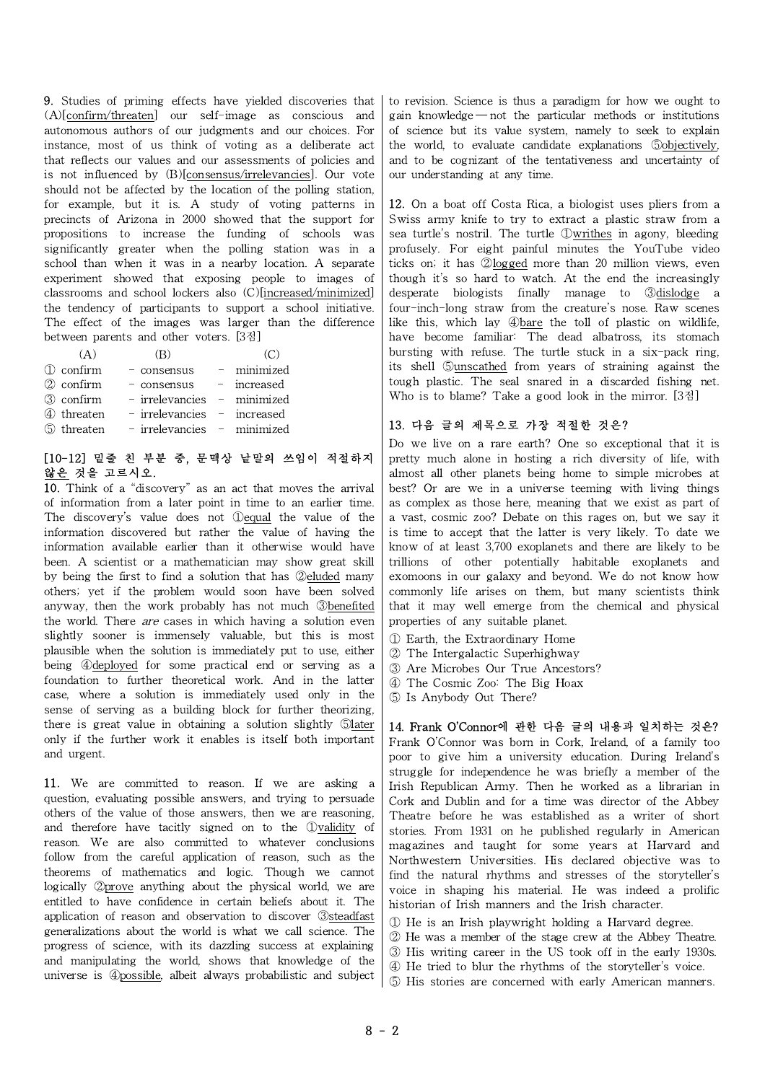9. Studies of priming effects have yielded discoveries that (A)[confirm/threaten] our self-image as conscious and autonomous authors of our judgments and our choices. For instance, most of us think of voting as a deliberate act that reflects our values and our assessments of policies and is not influenced by (B)[consensus/irrelevancies]. Our vote should not be affected by the location of the polling station, for example, but it is. A study of voting patterns in precincts of Arizona in 2000 showed that the support for propositions to increase the funding of schools was significantly greater when the polling station was in a school than when it was in a nearby location. A separate experiment showed that exposing people to images of classrooms and school lockers also (C)[increased/minimized] the tendency of participants to support a school initiative. The effect of the images was larger than the difference between parents and other voters. [3점]

| (A)        | (B)                                    |             |
|------------|----------------------------------------|-------------|
| 1 confirm  | - consensus                            | - minimized |
| ② confirm  | - consensus - increased                |             |
| ③ confirm  | - irrelevancies - minimized            |             |
| 4 threaten | - irrelevancies - increased            |             |
|            | 5 threaten - irrelevancies - minimized |             |

## [10-12] 밑줄 친 부분 중, 문맥상 낱말의 쓰임이 적절하지 않은 것을 고르시오.

10. Think of a "discovery" as an act that moves the arrival of information from a later point in time to an earlier time. The discovery's value does not ①equal the value of the information discovered but rather the value of having the information available earlier than it otherwise would have been. A scientist or a mathematician may show great skill by being the first to find a solution that has ②eluded many others; yet if the problem would soon have been solved anyway, then the work probably has not much ③benefited the world. There *are* cases in which having a solution even slightly sooner is immensely valuable, but this is most plausible when the solution is immediately put to use, either being ④deployed for some practical end or serving as a foundation to further theoretical work. And in the latter case, where a solution is immediately used only in the sense of serving as a building block for further theorizing, there is great value in obtaining a solution slightly 5later only if the further work it enables is itself both important and urgent.

11. We are committed to reason. If we are asking a question, evaluating possible answers, and trying to persuade others of the value of those answers, then we are reasoning, and therefore have tacitly signed on to the ①validity of reason. We are also committed to whatever conclusions follow from the careful application of reason, such as the theorems of mathematics and logic. Though we cannot logically ②prove anything about the physical world, we are entitled to have confidence in certain beliefs about it. The application of reason and observation to discover ③steadfast generalizations about the world is what we call science. The progress of science, with its dazzling success at explaining and manipulating the world, shows that knowledge of the universe is ④possible, albeit always probabilistic and subject

to revision. Science is thus a paradigm for how we ought to gain knowledge  $-$  not the particular methods or institutions of science but its value system, namely to seek to explain the world, to evaluate candidate explanations **Sobjectively**, and to be cognizant of the tentativeness and uncertainty of our understanding at any time.

12. On a boat off Costa Rica, a biologist uses pliers from a Swiss army knife to try to extract a plastic straw from a sea turtle's nostril. The turtle ①writhes in agony, bleeding profusely. For eight painful minutes the YouTube video ticks on; it has ②logged more than 20 million views, even though it's so hard to watch. At the end the increasingly desperate biologists finally manage to ③dislodge a four-inch-long straw from the creature's nose. Raw scenes like this, which lay ④bare the toll of plastic on wildlife, have become familiar: The dead albatross, its stomach bursting with refuse. The turtle stuck in a six-pack ring, its shell ⑤unscathed from years of straining against the tough plastic. The seal snared in a discarded fishing net. Who is to blame? Take a good look in the mirror. [3점]

## 13. 다음 글의 제목으로 가장 적절한 것은?

Do we live on a rare earth? One so exceptional that it is pretty much alone in hosting a rich diversity of life, with almost all other planets being home to simple microbes at best? Or are we in a universe teeming with living things as complex as those here, meaning that we exist as part of a vast, cosmic zoo? Debate on this rages on, but we say it is time to accept that the latter is very likely. To date we know of at least 3,700 exoplanets and there are likely to be trillions of other potentially habitable exoplanets and exomoons in our galaxy and beyond. We do not know how commonly life arises on them, but many scientists think that it may well emerge from the chemical and physical properties of any suitable planet.

- ① Earth, the Extraordinary Home
- ② The Intergalactic Superhighway
- ③ Are Microbes Our True Ancestors?
- ④ The Cosmic Zoo: The Big Hoax
- ⑤ Is Anybody Out There?

14. Frank O'Connor에 관한 다음 글의 내용과 일치하는 것은? Frank O'Connor was born in Cork, Ireland, of a family too poor to give him a university education. During Ireland's struggle for independence he was briefly a member of the Irish Republican Army. Then he worked as a librarian in Cork and Dublin and for a time was director of the Abbey Theatre before he was established as a writer of short stories. From 1931 on he published regularly in American magazines and taught for some years at Harvard and Northwestern Universities. His declared objective was to find the natural rhythms and stresses of the storyteller's voice in shaping his material. He was indeed a prolific historian of Irish manners and the Irish character.

- ① He is an Irish playwright holding a Harvard degree.
- ② He wasa member of the stage crew at the Abbey Theatre.
- ③ His writing career in the US took off in the early 1930s.
- ④ He tried to blur the rhythms of the storyteller's voice.
- ⑤ His stories are concerned with early American manners.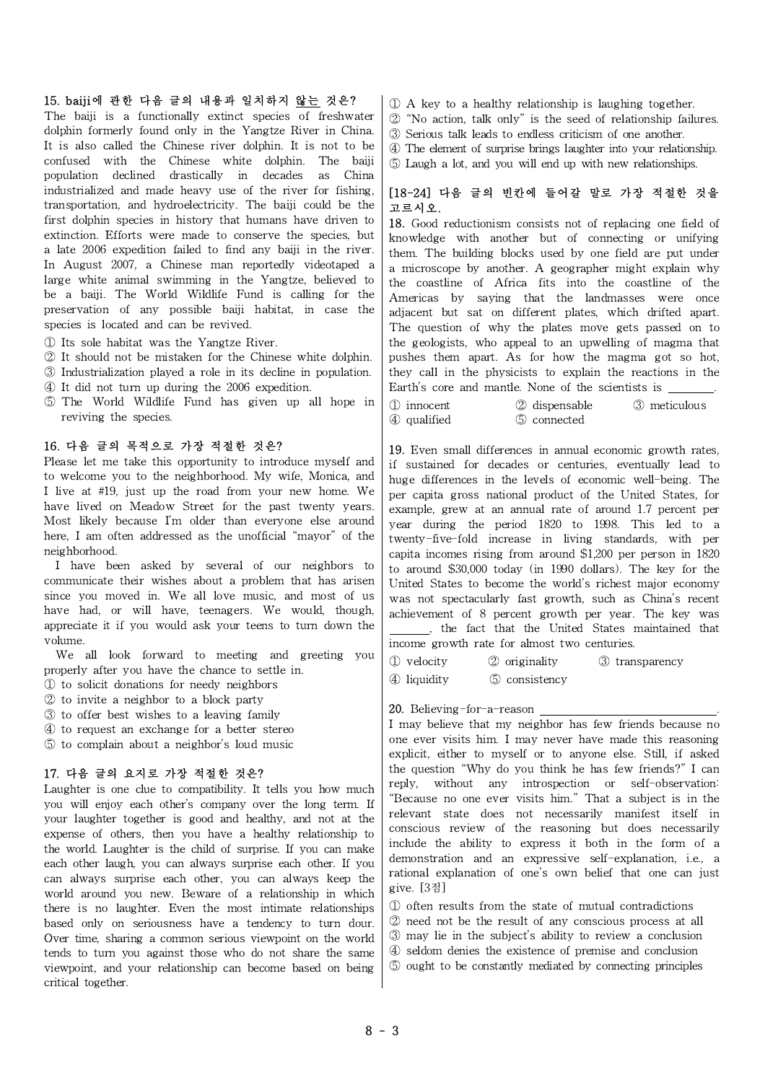#### 15. baiji에 관한 다음 글의 내용과 일치하지 않는 것은?

The baiji is a functionally extinct species of freshwater dolphin formerly found only in the Yangtze River in China. It is also called the Chinese river dolphin. It is not to be confused with the Chinese white dolphin. The baiji population declined drastically in decades as China industrialized and made heavy use of the river for fishing, transportation, and hydroelectricity. The baiji could be the first dolphin species in history that humans have driven to extinction. Efforts were made to conserve the species, but a late 2006 expedition failed to find any baiji in the river. In August 2007, a Chinese man reportedly videotaped a large white animal swimming in the Yangtze, believed to be a baiji. The World Wildlife Fund is calling for the preservation of any possible baiji habitat, in case the species is located and can be revived.

- ① Its sole habitat was the Yangtze River.
- ② It should not be mistaken for the Chinese white dolphin.
- ③ Industrialization played a role in its decline in population.
- ④ It did not turn up during the 2006 expedition.
- $\circled{5}$  The World Wildlife Fund has given up all hope in  $\circ$ reviving the species.

#### 16. 다음 글의 목적으로 가장 적절한 것은?

Please let me take this opportunity to introduce myself and to welcome you to the neighborhood. My wife, Monica, and I live at #19, just up the road from your new home. We have lived on Meadow Street for the past twenty years. Most likely because I'm older than everyone else around here, I am often addressed as the unofficial "mayor" of the neighborhood.

I have been asked by several of our neighbors to communicate their wishes about a problem that has arisen since you moved in. We all love music, and most of us have had, or will have, teenagers. We would, though, appreciate it if you would ask your teens to turn down the volume.

We all look forward to meeting and greeting you  $\int_{\Omega}$  velocity properly after you have the chance to settle in.

- ① to solicit donations for needy neighbors
- ② to invite a neighbor to a block party
- ③ to offer best wishes to a leaving family
- ④ to request an exchange for a better stereo
- ⑤ to complain about a neighbor's loud music

#### 17. 다음 글의 요지로 가장 적절한 것은?

Laughter is one clue to compatibility. It tells you how much you will enjoy each other's company over the long term. If your laughter together is good and healthy, and not at the expense of others, then you have a healthy relationship to the world. Laughter is the child of surprise. If you can make each other laugh, you can always surprise each other. If you can always surprise each other, you can always keep the world around you new. Beware of a relationship in which there is no laughter. Even the most intimate relationships based only on seriousness have a tendency to turn dour. Over time, sharing a common serious viewpoint on the world tends to turn you against those who do not share the same viewpoint, and your relationship can become based on being critical together.

- ① A key to a healthy relationship is laughing together.
- $\oslash$  "No action, talk only" is the seed of relationship failures.
- ③ Serious talk leads to endless criticism of one another.
- ④ The element of surprise brings laughter into your relationship.
- ⑤ Laugh a lot, and you will end up with new relationships.

### [18-24] 다음 글의 빈칸에 들어갈 말로 가장 적절한 것을 고르시오.

18. Good reductionism consists not of replacing one field of knowledge with another but of connecting or unifying them. The building blocks used by one field are put under a microscope by another. A geographer might explain why the coastline of Africa fits into the coastline of the Americas by saying that the landmasses were once adjacent but sat on different plates, which drifted apart. The question of why the plates move gets passed on to the geologists, who appeal to an upwelling of magma that pushes them apart. As for how the magma got so hot, they callin the physicists to explain the reactions in the Earth's core and mantle. None of the scientists is

| 1 innocent  | 2 dispensable | 3 meticulous |
|-------------|---------------|--------------|
| 4 qualified | 5 connected   |              |

19. Even small differences in annual economic growth rates, if sustained for decades or centuries, eventually lead to huge differences in the levels of economic well-being. The per capita gross national product of the United States, for example, grew at an annual rate of around 1.7 percent per year during the period 1820 to 1998. This led to a twenty-five-fold increase in living standards, with per capita incomes rising from around \$1,200 per person in 1820 to around \$30,000 today (in 1990 dollars). The key for the United States to become the world's richest major economy was not spectacularly fast growth, such as China's recent achievement of 8 percent growth per year. The key was , the fact that the United States maintained that income growth rate for almost two centuries.

② originality ③ transparency

④ liquidity ⑤ consistency

#### 20. Believing-for-a-reason .

I may believe that my neighbor has few friends because no one ever visits him. I may never have made this reasoning explicit, either to myself or to anyone else. Still, if asked the question "Why do you think he has few friends?" I can reply, without any introspection or self-observation: "Because no one ever visits him." That a subject is in the relevant state does not necessarily manifest itself in conscious review of the reasoning but does necessarily include the ability to express it both in the form of a demonstration and an expressive self-explanation, i.e., a rational explanation of one's own belief that one can just give. [3점]

- ① often results from the state of mutual contradictions
- ② need not be the result of any conscious process at all
- ③ may lie in the subject's ability to review a conclusion
- ④ seldom denies the existence of premise and conclusion
- ⑤ ought to be constantly mediated by connecting principles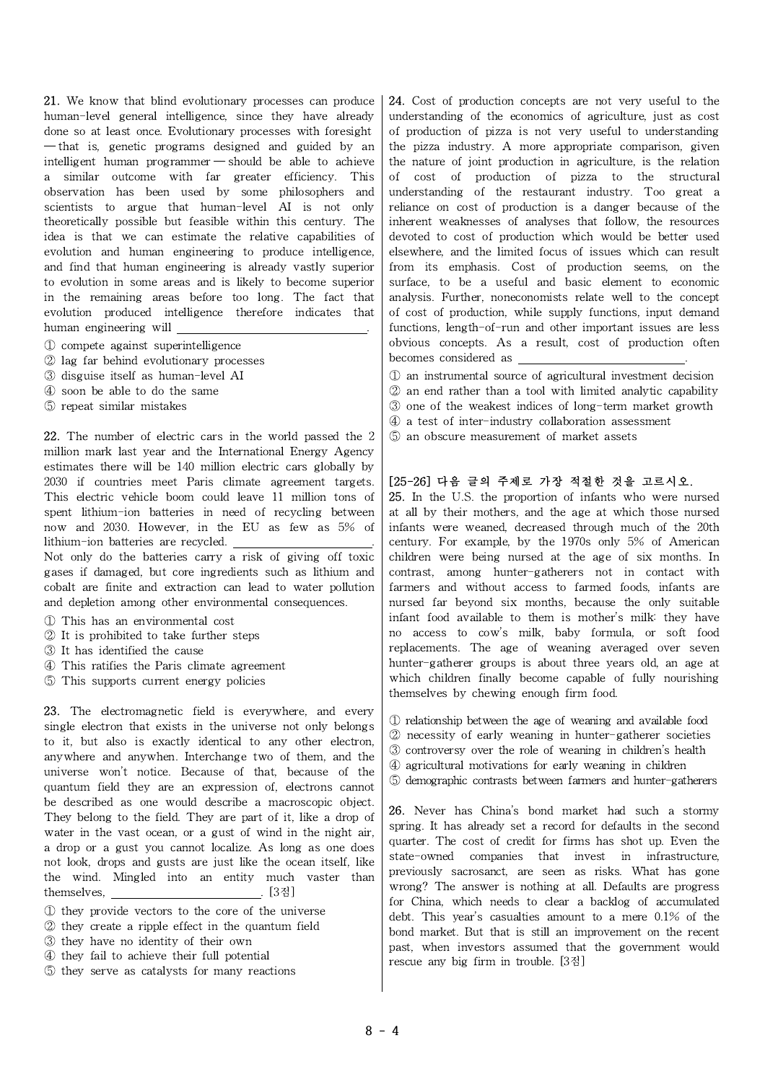21. We know that blind evolutionary processes can produce human-level general intelligence, since they have already done so at least once. Evolutionary processes with foresight ─ that is, genetic programs designed and guided by an intelligent human programmer — should be able to achieve a similar outcome with far greater efficiency. This observation has been used by some philosophers and scientists to argue that human-level AI is not only theoretically possible but feasible within this century. The idea is that we can estimate the relative capabilities of evolution and human engineering to produce intelligence, and find that human engineering is already vastly superior to evolution in some areas and is likely to become superior in the remaining areas before too long. The fact that evolution produced intelligence therefore indicates that human engineering will .

- ① compete against superintelligence
- ② lag far behind evolutionary processes
- ③ disguise itself as human-level AI
- ④ soon be able to do the same
- ⑤ repeat similar mistakes

22. The number of electric cars in the world passed the 2 million mark last year and the International Energy Agency estimates there will be 140 million electric cars globally by 2030 if countries meet Paris climate agreement targets. This electric vehicle boom could leave 11 million tons of spent lithium-ion batteries in need of recycling between now and 2030. However, in the EU as few as 5% of lithium-ion batteries are recycled. .

Not only do the batteries carry a risk of giving off toxic gases if damaged, but core ingredients such as lithium and cobalt are finite and extraction can lead to water pollution and depletion among other environmental consequences.

- ① This has an environmental cost
- ② It is prohibited to take further steps
- ③ It has identified the cause
- ④ This ratifies the Paris climate agreement
- ⑤ This supports current energy policies

23. The electromagnetic field is everywhere, and every single electron that exists in the universe not only belongs to it, but also is exactly identical to any other electron, anywhere and anywhen. Interchange two of them, and the universe won't notice. Because of that, because of the quantum field they are an expression of, electrons cannot be described as one would describe a macroscopic object. They belong to the field. They are part of it, like a drop of water in the vast ocean, or a gust of wind in the night air, a drop or a gust you cannot localize. As long as one does not look, drops and gusts are just like the ocean itself, like the wind. Mingled into an entity much vaster than themselves, . [3점]

- ① they provide vectors to the core of the universe
- ② they create a ripple effect in the quantum field
- ③ they have no identity of their own
- ④ they fail to achieve their full potential
- ⑤ they serve as catalysts for many reactions

24. Cost of production concepts are not very useful to the understanding of the economics of agriculture, just as cost of production of pizza is not very useful to understanding the pizza industry. A more appropriate comparison, given the nature of joint production in agriculture, is the relation of cost of production of pizza to the structural understanding of the restaurant industry. Too great a reliance on cost of production is a danger because of the inherent weaknesses of analyses that follow, the resources devoted to cost of production which would be better used elsewhere, and the limited focus of issues which can result from its emphasis. Cost of production seems, on the surface, to be a useful and basic element to economic analysis. Further, noneconomists relate well to the concept of cost of production, while supply functions, input demand functions, length-of-run and other important issues are less obvious concepts. As a result, cost of production often becomes considered as

- ① an instrumental source of agricultural investment decision
- ② an end rather than a tool with limited analytic capability
- ③ one of the weakest indices of long-term market growth
- ④ a test of inter-industry collaboration assessment
- ⑤ an obscure measurement of market assets

## [25-26] 다음 글의 주제로 가장 적절한 것을 고르시오.

25. In the U.S. the proportion of infants who were nursed at all by their mothers, and the age at which those nursed infants were weaned, decreased through much of the 20th century. For example, by the 1970s only 5% of American children were being nursed at the age of six months. In contrast, among hunter-gatherers not in contact with farmers and without access to farmed foods, infants are nursed far beyond six months, because the only suitable infant food available to them is mother's milk: they have no access to cow's milk, baby formula, or soft food replacements. The age of weaning averaged over seven hunter-gatherer groups is about three years old, an age at which children finally become capable of fully nourishing themselves by chewing enough firm food.

- ① relationship between the age of weaning and available food
- ② necessity of early weaning in hunter-gatherer societies
- ③ controversy over the role of weaning in children's health
- ④ agricultural motivations for early weaning in children
- ⑤ demographic contrasts between farmers and hunter-gatherers

26. Never has China's bond market had such a stormy spring. It has already set a record for defaults in the second quarter. The cost of credit for firms has shot up. Even the state-owned companies that invest in infrastructure, previously sacrosanct, are seen as risks. What has gone wrong? The answer is nothing at all. Defaults are progress for China, which needs to clear a backlog of accumulated debt. This year's casualties amount to a mere 0.1% of the bond market. But that is still an improvement on the recent past, when investors assumed that the government would rescue any big firm in trouble. [3점]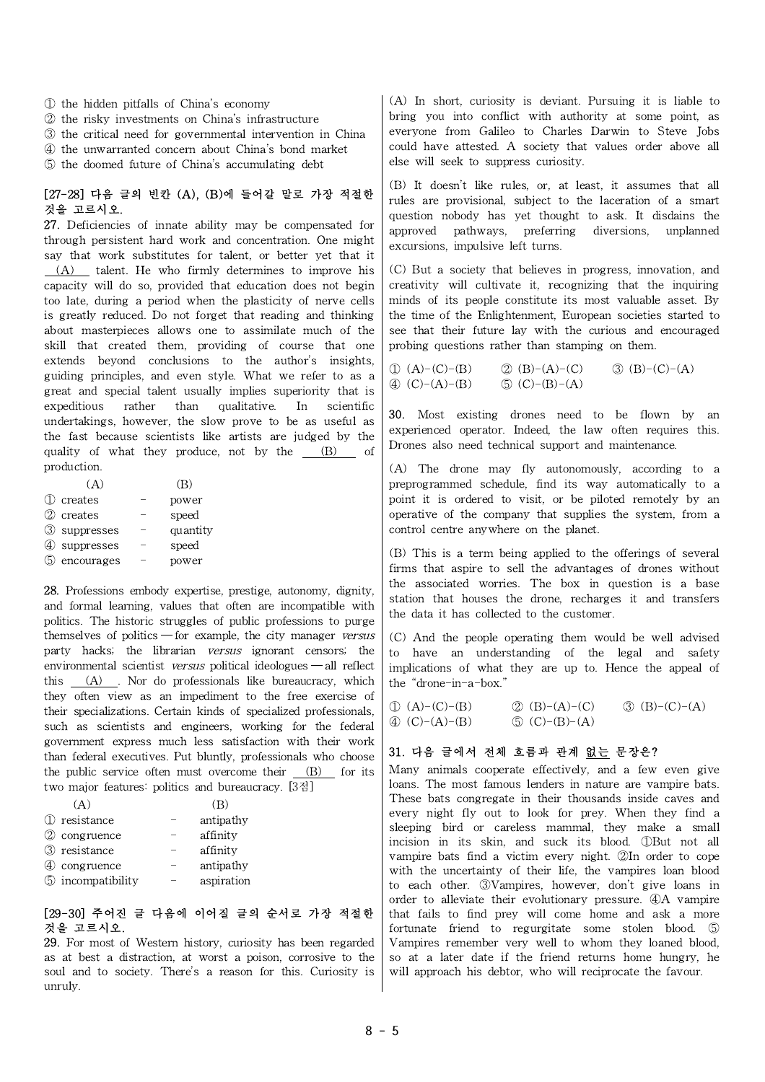- ① the hidden pitfalls of China's economy
- ② the risky investments on China's infrastructure
- ③ the critical need for governmental intervention in China
- ④ the unwarranted concern about China's bond market
- ⑤ the doomed future of China's accumulating debt

#### [27-28] 다음 글의 빈칸 (A), (B)에 들어갈 말로 가장 적절한 것을 고르시오.

27. Deficiencies of innate ability may be compensated for through persistent hard work and concentration. One might say that work substitutes for talent, or better yet that it (A) talent. He who firmly determines to improve his capacity will do so, provided that education does not begin too late, during a period when the plasticity of nerve cells is greatly reduced. Do not forget that reading and thinking about masterpieces allows one to assimilate much of the skill that created them, providing of course that one extends beyond conclusions to the author's insights, guiding principles, and even style. What we refer to as a great and special talent usually implies superiority that is expeditious rather than qualitative. In scientific undertakings, however, the slow prove to be as useful as the fast because scientists like artists are judged by the quality of what they produce, not by the  $(B)$  of production.

|              | (B)      |  |
|--------------|----------|--|
| (1) creates  | power    |  |
| 2 creates    | speed    |  |
| 3 suppresses | quantity |  |
| 4 suppresses | speed    |  |
| 5 encourages | power    |  |
|              |          |  |

28. Professions embody expertise, prestige, autonomy, dignity, and formal learning, values that often are incompatible with politics. The historic struggles of public professions to purge themselves of politics — for example, the city manager versus party hacks; the librarian versus ignorant censors; the environmental scientist versus political ideologues — all reflect this  $(A)$ . Nor do professionals like bureaucracy, which they often view as an impediment to the free exercise of their specializations. Certain kinds of specialized professionals, such as scientists and engineers, working for the federal government express much less satisfaction with their work than federal executives. Put bluntly, professionals who choose the public service often must overcome their  $(B)$  for its two major features: politics and bureaucracy. [3점]

| 1 resistance             | antipathy  |  |
|--------------------------|------------|--|
| 2 congruence             | affinity   |  |
| 3 resistance             | affinity   |  |
| 4 congruence             | antipathy  |  |
| <b>5</b> incompatibility | aspiration |  |
|                          |            |  |

#### [29-30] 주어진 글 다음에 이어질 글의 순서로 가장 적절한 것을 고르시오.

29. For most of Western history, curiosity has been regarded as at best a distraction, at worst a poison, corrosive to the soul and to society. There's a reason for this. Curiosity is unruly.

(A) In short, curiosity is deviant. Pursuing it is liable to bring you into conflict with authority at some point, as everyone from Galileo to Charles Darwin to Steve Jobs could have attested. A society that values order above all else will seek to suppress curiosity.

(B) It doesn't like rules, or, at least, it assumes that all rules are provisional, subject to the laceration of a smart question nobody has yet thought to ask. It disdains the approved pathways, preferring diversions, unplanned excursions, impulsive left turns.

(C) But a society that believes in progress, innovation, and creativity will cultivate it, recognizing that the inquiring minds of its people constitute its most valuable asset. By the time of the Enlightenment, European societies started to see that their future lay with the curious and encouraged probing questions rather than stamping on them.

| $\mathbb{D}(A)-(C)-(B)$       | (2) (B)–(A)–(C) | $\textcircled{3}$ (B)–(C)–(A) |
|-------------------------------|-----------------|-------------------------------|
| $\textcircled{4}$ (C)-(A)-(B) | (5) (C)–(B)–(A) |                               |

30. Most existing drones need to be flown by an experienced operator. Indeed, the law often requires this. Drones also need technical support and maintenance.

(A) The drone may fly autonomously, according to a preprogrammed schedule, find its way automatically to a point it is ordered to visit, or be piloted remotely by an operative of the company that supplies the system, from a control centre anywhere on the planet.

(B) This is a term being applied to the offerings of several firms that aspire to sell the advantages of drones without the associated worries. The box in question is a base station that houses the drone, recharges it and transfers the data it has collected to the customer.

(C) And the people operating them would be well advised to have an understanding of the legal and safety implications of what they are up to. Hence the appeal of the "drone-in-a-box."

| $\textcircled{1}$ (A)–(C)–(B) | (2) (B)–(A)–(C)           | $\textcircled{3}$ (B)–(C)–(A) |
|-------------------------------|---------------------------|-------------------------------|
| 4 (C)-(A)-(B)                 | $\mathcal{L}$ (C)–(B)–(A) |                               |

### 31. 다음 글에서 전체 흐름과 관계 없는 문장은?

Many animals cooperate effectively, and a few even give loans. The most famous lenders in nature are vampire bats. These bats congregate in their thousands inside caves and every night fly out to look for prey. When they find a sleeping bird or careless mammal, they make a small incision in its skin, and suck its blood. ①But not all vampire bats find a victim every night. ②In order to cope with the uncertainty of their life, the vampires loan blood to each other. ③Vampires, however, don't give loans in order to alleviate their evolutionary pressure. ④A vampire that fails to find prey will come home and ask a more fortunate friend to regurgitate some stolen blood. ⑤ Vampires remember very well to whom they loaned blood, so at a later date if the friend returns home hungry, he will approach his debtor, who will reciprocate the favour.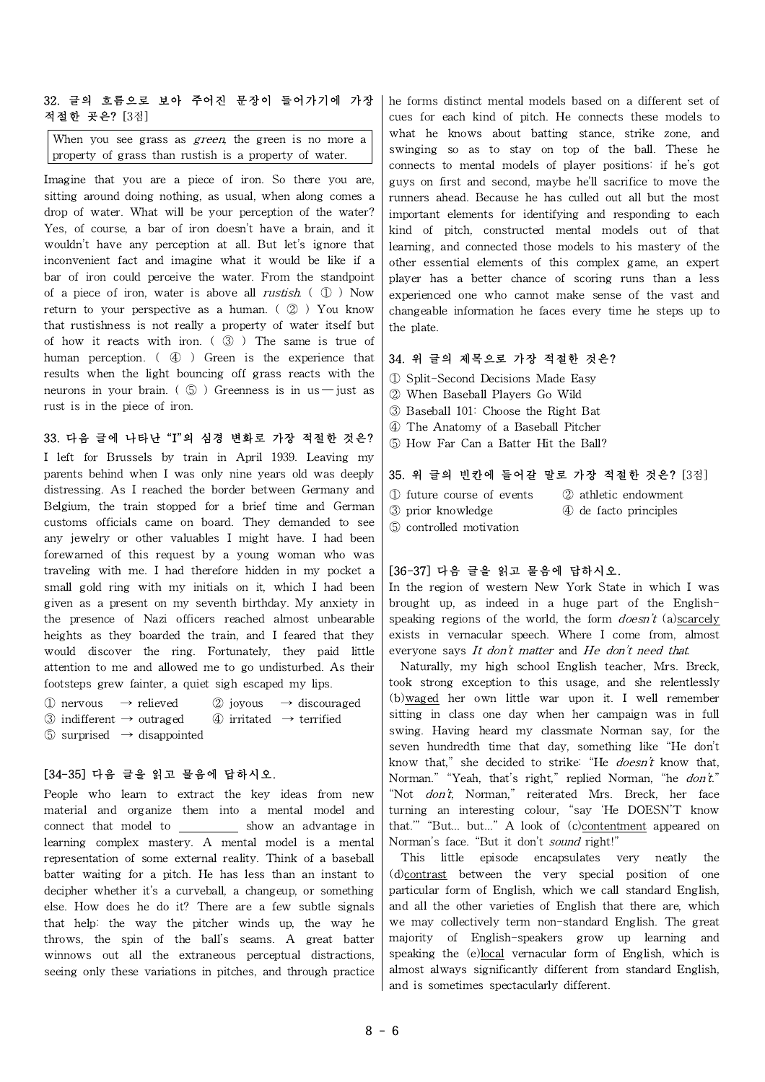### 32. 글의 흐름으로 보아 주어진 문장이 들어가기에 가장 적절한 곳은? [3점]

When you see grass as *green*, the green is no more a property of grass than rustish is a property of water.

Imagine that you are a piece of iron. So there you are, sitting around doing nothing, as usual, when along comes a drop of water. What will be your perception of the water? Yes, of course, a bar of iron doesn't have a brain, and it wouldn't have any perception at all. But let's ignore that inconvenient fact and imagine what it would be like if a bar of iron could perceive the water. From the standpoint of a piece of iron, water is above all *rustish*.  $( \mathbb{Q} )$  Now return to your perspective as a human.  $\left( \varphi \right)$  You know that rustishness is not really a property of water itself but of how it reacts with iron.  $( \mathcal{B} )$  The same is true of human perception. (4) Green is the experience that results when the light bouncing off grass reacts with the neurons in your brain. ( $\circled{5}$ ) Greenness is in us - just as rust is in the piece of iron.

## 33. 다음 글에 나타난 "I"의 심경 변화로 가장 적절한 것은?

I left for Brussels by train in April 1939. Leaving my parents behind when I was only nine years old was deeply distressing. As I reached the border between Germany and Belgium, the train stopped for a brief time and German  $\frac{1}{3}$  prior knowledge customs officials came on board. They demanded to see any jewelry or other valuables I might have. I had been forewarned of this request by a young woman who was traveling with me. I had therefore hidden in my pocket a small gold ring with my initials on it, which I had been given as a present on my seventh birthday. My anxiety in the presence of Nazi officers reached almost unbearable heights as they boarded the train, and I feared that they would discover the ring. Fortunately, they paid little attention to me and allowed me to go undisturbed. As their footsteps grew fainter, a quiet sigh escaped my lips.

① nervous → relieved ② joyous → discouraged ③ indifferent → outraged ④ irritated → terrified

 $\circled{S}$  surprised  $\rightarrow$  disappointed

#### [34-35] 다음 글을 읽고 물음에 답하시오.

People who learn to extract the key ideas from new material and organize them into a mental model and connect that model to show an advantage in learning complex mastery. A mental model is a mental representation of some external reality. Think of a baseball batter waiting for a pitch. He has less than an instant to decipher whether it's a curveball, a changeup, or something else. How does he do it? There are a few subtle signals that help: the way the pitcher winds up, the way he throws, the spin of the ball's seams. A great batter winnows out all the extraneous perceptual distractions, seeing only these variations in pitches, and through practice

he forms distinct mental models based on a different set of cues for each kind of pitch. He connects these models to what he knows about batting stance, strike zone, and swinging so as to stay on top of the ball. These he connects to mental models of player positions: if he's got guys on first and second, maybe he'll sacrifice to move the runners ahead. Because he has culled out all but the most important elements for identifying and responding to each kind of pitch, constructed mental models out of that learning, and connected those models to his mastery of the other essential elements of this complex game, an expert player has a better chance of scoring runs than a less experienced one who cannot make sense of the vast and changeable information he faces every time he steps up to the plate.

### 34. 위 글의 제목으로 가장 적절한 것은?

- ① Split-Second Decisions Made Easy
- ② When Baseball Players Go Wild
- ③ Baseball 101: Choose the Right Bat
- ④ The Anatomy of a Baseball Pitcher
- ⑤ How Far Can a Batter Hit the Ball?

#### 35. 위 글의 빈칸에 들어갈 말로 가장 적절한 것은? [3점]

- ① future course of events ② athleticendowment
	-
	-
- ③ prior knowledge ④ de facto principles
- ⑤ controlled motivation

### [36-37] 다음 글을 읽고 물음에 답하시오.

In the region of western New York State in which I was brought up, as indeed in a huge part of the Englishspeaking regions of the world, the form  $doesn't$  (a)scarcely exists in vernacular speech. Where I come from, almost everyone says It don't matter and He don't need that.

Naturally, my high school English teacher, Mrs. Breck, took strong exception to this usage, and she relentlessly (b)waged her own little war upon it. I well remember sitting in class one day when her campaign was in full swing. Having heard my classmate Norman say, for the seven hundredth time that day, something like "He don't know that," she decided to strike: "He doesn't know that, Norman." "Yeah, that's right," replied Norman, "he don't." "Not don't, Norman," reiterated Mrs. Breck, her face turning an interesting colour, "say 'He DOESN'T know that." "But... but..." A look of (c)contentment appeared on Norman's face. "But it don't sound right!"

This little episode encapsulates very neatly the (d)contrast between the very special position of one particular form of English, which we call standard English, and all the other varieties of English that there are, which we may collectively term non-standard English. The great majority of English-speakers grow up learning and speaking the (e)local vernacular form of English, which is almost always significantly different from standard English, and is sometimes spectacularly different.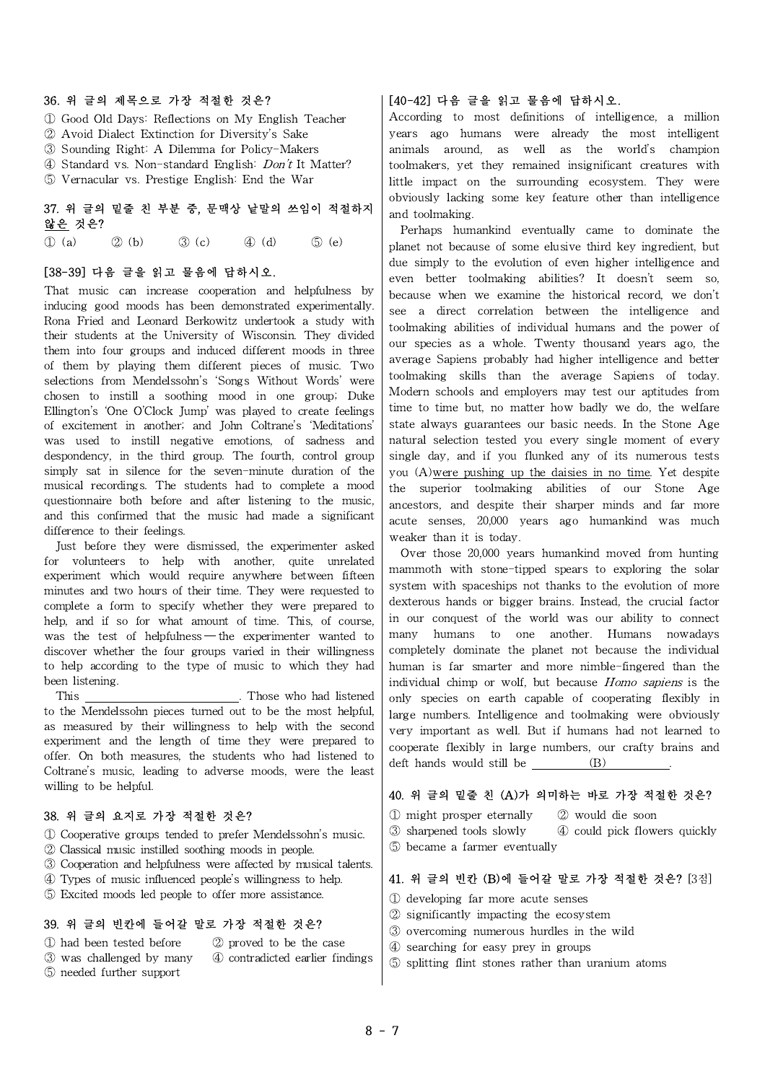#### 36. 위 글의 제목으로 가장 적절한 것은?

- ① Good Old Days: Reflections on My English Teacher
- ② Avoid Dialect Extinction for Diversity's Sake
- ③ Sounding Right: A Dilemma for Policy-Makers
- ④ Standard vs. Non-standard English: Don't It Matter?
- ⑤ Vernacular vs. Prestige English: End the War

## 37. 위 글의 밑줄 친 부분 중, 문맥상 낱말의 쓰임이 적절하지 않은 것은?

 $\textcircled{1}$  (a)  $\textcircled{2}$  (b)  $\textcircled{3}$  (c)  $\textcircled{4}$  (d)  $\textcircled{5}$  (e)  $\textcircled{1}$  nlar

### [38-39] 다음 글을 읽고 물음에 답하시오.

That music can increase cooperation and helpfulness by inducing good moods has been demonstrated experimentally. Rona Fried and Leonard Berkowitz undertook a study with their students at the University of Wisconsin. They divided them into four groups and induced different moods in three of them by playing them different pieces of music. Two selections from Mendelssohn's 'Songs Without Words' were chosen to instill a soothing mood in one group; Duke Ellington's 'One O'Clock Jump' was played to create feelings of excitement in another; and John Coltrane's 'Meditations' was used to instill negative emotions, of sadness and despondency, in the third group. The fourth, control group simply sat in silence for the seven-minute duration of the musical recordings. The students had to complete a mood questionnaire both before and after listening to the music, and this confirmed that the music had made a significant difference to their feelings.

Just before they were dismissed, the experimenter asked for volunteers to help with another, quite unrelated experiment which would require anywhere between fifteen minutes and two hours of their time. They were requested to complete a form to specify whether they were prepared to help, and if so for what amount of time. This, of course, was the test of helpfulness — the experimenter wanted to  $\vert$  many discover whether the four groups varied in their willingness to help according to the type of music to which they had been listening.

This . Those who had listened to the Mendelssohn pieces turned out to be the most helpful, as measured by their willingness to help with the second experiment and the length of time they were prepared to offer. On both measures, the students who had listened to Coltrane's music, leading to adverse moods, were the least willing to be helpful.

### 38. 위 글의 요지로 가장 적절한 것은?

- ① Cooperative groups tended to prefer Mendelssohn's music.
- ② Classical music instilled soothing moods in people.
- ③ Cooperation and helpfulness were affected by musical talents.
- ④ Types of music influenced people's willingness to help.
- ⑤ Excited moods led people to offer more assistance.

#### 39. 위 글의 빈칸에 들어갈 말로 가장 적절한 것은?

- ① had been tested before ② proved to be the case
	-
- ⑤ needed further support
- ③ was challenged by many ④ contradicted earlier findings

## [40-42] 다음 글을 읽고 물음에 답하시오.

According to most definitions of intelligence, a million years ago humans were already the most intelligent animals around, as well as the world's champion toolmakers, yet they remained insignificant creatures with little impact on the surrounding ecosystem. They were obviously lacking some key feature other than intelligence and toolmaking.

Perhaps humankind eventually came to dominate the planet not because of some elusive third key ingredient, but due simply to the evolution of even higher intelligence and even better toolmaking abilities? It doesn't seem so, because when we examine the historical record, we don't see a direct correlation between the intelligence and toolmaking abilities of individual humans and the power of our species as a whole. Twenty thousand years ago, the average Sapiens probably had higher intelligence and better toolmaking skills than the average Sapiens of today. Modern schools and employers may test our aptitudes from time to time but, no matter how badly we do, the welfare state always guarantees our basic needs. In the Stone Age natural selection tested you every single moment of every single day, and if you flunked any of its numerous tests you (A)were pushing up the daisies in no time. Yet despite the superior toolmaking abilities of our Stone Age ancestors, and despite their sharper minds and far more acute senses, 20,000 years ago humankind was much weaker than it is today.

Over those 20,000 years humankind moved from hunting mammoth with stone-tipped spears to exploring the solar system with spaceships not thanks to the evolution of more dexterous hands or bigger brains. Instead, the crucial factor in our conquest of the world was our ability to connect humans to one another. Humans nowadays completely dominate the planet not because the individual human is far smarter and more nimble-fingered than the individual chimp or wolf, but because Homo sapiens is the only species on earth capable of cooperating flexibly in large numbers. Intelligence and toolmaking were obviously very important as well. But if humans had not learned to cooperate flexibly in large numbers, our crafty brains and deft hands would still be  $(B)$ 

### 40. 위 글의 밑줄 친 (A)가 의미하는 바로 가장 적절한 것은?

- ① might prosper eternally ② would die soon
- ③ sharpened tools slowly ④ could pick flowers quickly
- ⑤ became a farmer eventually

#### 41. 위 글의 빈칸 (B)에 들어갈 말로 가장 적절한 것은? [3점]

- ① developing far more acute senses
- ② significantly impacting the ecosystem
- ③ overcoming numerous hurdles in the wild
- ④ searching for easy prey in groups
- ⑤ splitting flint stones rather than uranium atoms